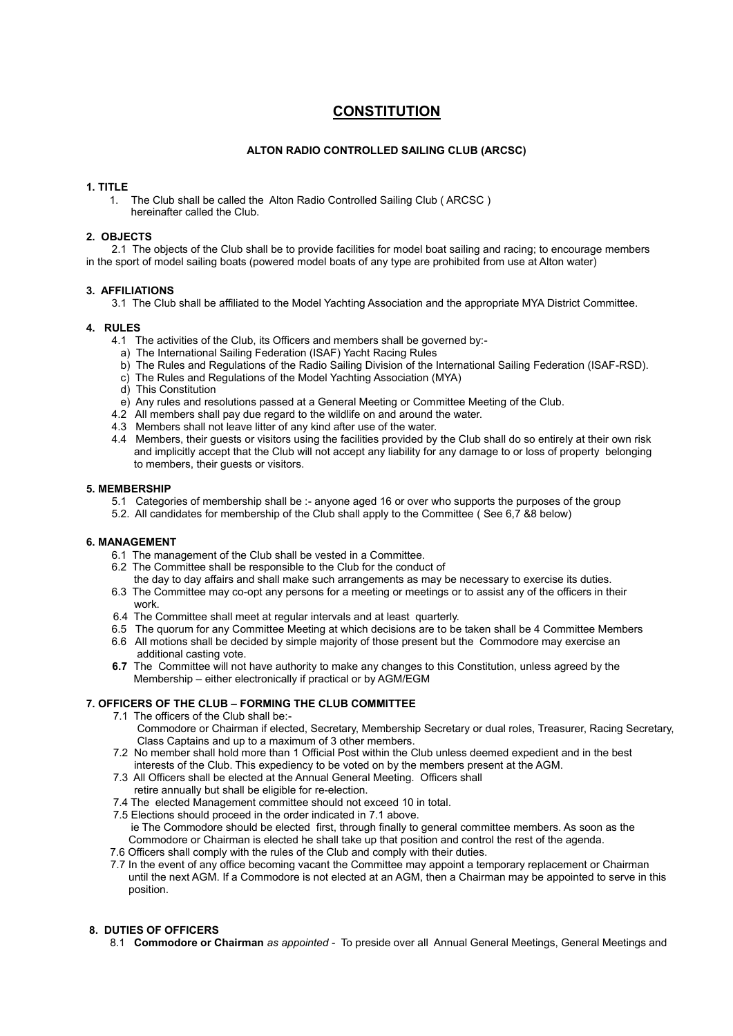# **CONSTITUTION**

# **ALTON RADIO CONTROLLED SAILING CLUB (ARCSC)**

# **1. TITLE**

1. The Club shall be called the Alton Radio Controlled Sailing Club ( ARCSC ) hereinafter called the Club.

### **2. OBJECTS**

2.1 The objects of the Club shall be to provide facilities for model boat sailing and racing; to encourage members in the sport of model sailing boats (powered model boats of any type are prohibited from use at Alton water)

# **3. AFFILIATIONS**

3.1 The Club shall be affiliated to the Model Yachting Association and the appropriate MYA District Committee.

# **4. RULES**

- 4.1 The activities of the Club, its Officers and members shall be governed by:
	- a) The International Sailing Federation (ISAF) Yacht Racing Rules
	- b) The Rules and Regulations of the Radio Sailing Division of the International Sailing Federation (ISAF-RSD).
- c) The Rules and Regulations of the Model Yachting Association (MYA)
- d) This Constitution
- e) Any rules and resolutions passed at a General Meeting or Committee Meeting of the Club.
- 4.2 All members shall pay due regard to the wildlife on and around the water.
- 4.3 Members shall not leave litter of any kind after use of the water.
- 4.4 Members, their guests or visitors using the facilities provided by the Club shall do so entirely at their own risk and implicitly accept that the Club will not accept any liability for any damage to or loss of property belonging to members, their guests or visitors.

# **5. MEMBERSHIP**

- 5.1 Categories of membership shall be :- anyone aged 16 or over who supports the purposes of the group
- 5.2. All candidates for membership of the Club shall apply to the Committee ( See 6,7 &8 below)

# **6. MANAGEMENT**

- 6.1 The management of the Club shall be vested in a Committee.
- 6.2 The Committee shall be responsible to the Club for the conduct of
- the day to day affairs and shall make such arrangements as may be necessary to exercise its duties. 6.3 The Committee may co-opt any persons for a meeting or meetings or to assist any of the officers in their
- work.
- 6.4 The Committee shall meet at regular intervals and at least quarterly.
- 6.5 The quorum for any Committee Meeting at which decisions are to be taken shall be 4 Committee Members
- 6.6 All motions shall be decided by simple majority of those present but the Commodore may exercise an additional casting vote.
- **6.7** The Committee will not have authority to make any changes to this Constitution, unless agreed by the Membership – either electronically if practical or by AGM/EGM

# **7. OFFICERS OF THE CLUB – FORMING THE CLUB COMMITTEE**

- 7.1 The officers of the Club shall be:-
	- Commodore or Chairman if elected, Secretary, Membership Secretary or dual roles, Treasurer, Racing Secretary, Class Captains and up to a maximum of 3 other members.
- 7.2 No member shall hold more than 1 Official Post within the Club unless deemed expedient and in the best interests of the Club. This expediency to be voted on by the members present at the AGM.
- 7.3 All Officers shall be elected at the Annual General Meeting. Officers shall retire annually but shall be eligible for re-election.
- 7.4 The elected Management committee should not exceed 10 in total.
- 7.5 Elections should proceed in the order indicated in 7.1 above. ie The Commodore should be elected first, through finally to general committee members. As soon as the Commodore or Chairman is elected he shall take up that position and control the rest of the agenda.
- 7.6 Officers shall comply with the rules of the Club and comply with their duties.
- 7.7 In the event of any office becoming vacant the Committee may appoint a temporary replacement or Chairman until the next AGM. If a Commodore is not elected at an AGM, then a Chairman may be appointed to serve in this position.

# **8. DUTIES OF OFFICERS**

8.1 **Commodore or Chairman** *as appointed -* To preside over all Annual General Meetings, General Meetings and